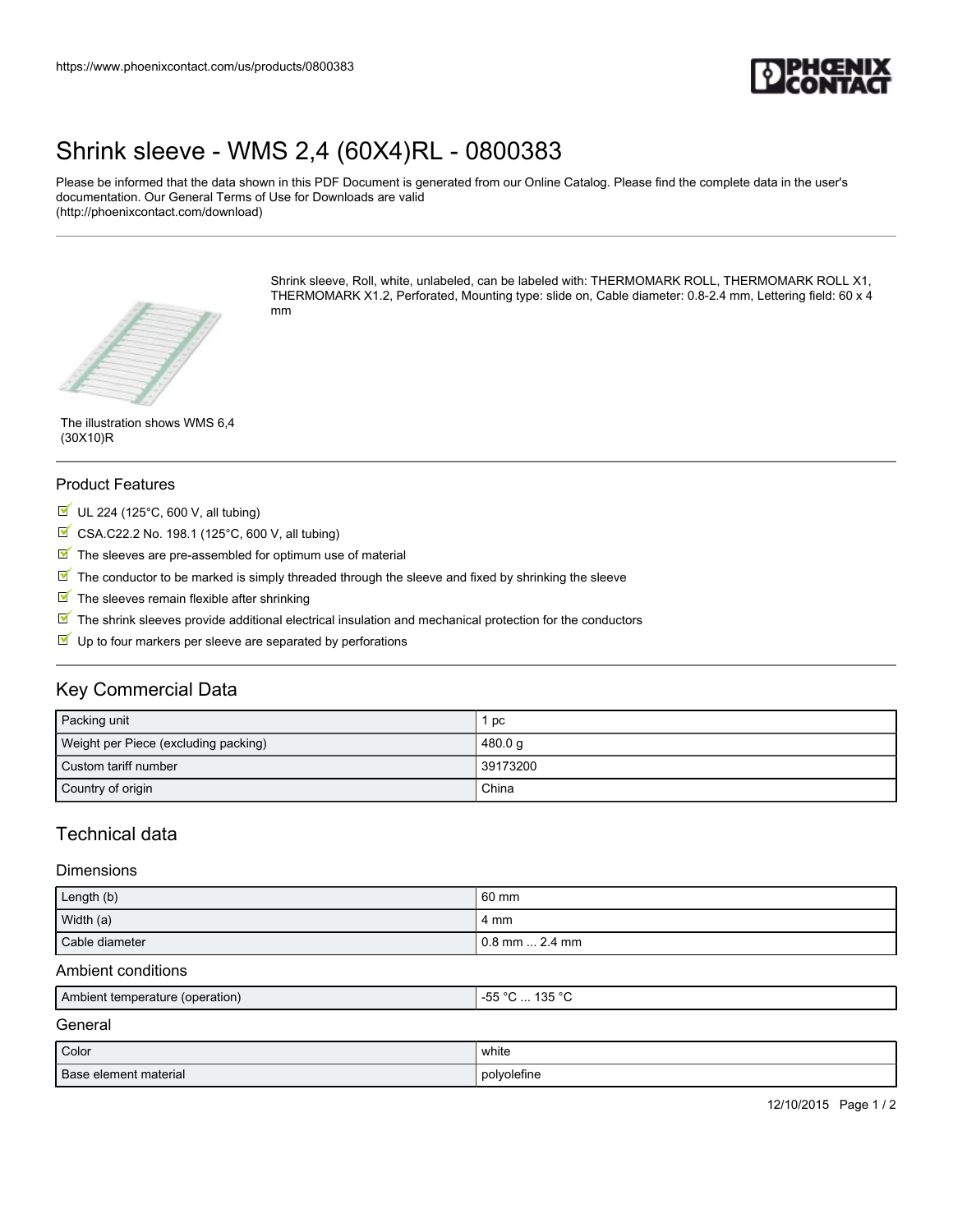

# [Shrink sleeve - WMS 2,4 \(60X4\)RL - 0800383](https://www.phoenixcontact.com/us/products/0800383)

Please be informed that the data shown in this PDF Document is generated from our Online Catalog. Please find the complete data in the user's documentation. Our General Terms of Use for Downloads are valid (http://phoenixcontact.com/download)



Shrink sleeve, Roll, white, unlabeled, can be labeled with: THERMOMARK ROLL, THERMOMARK ROLL X1, THERMOMARK X1.2, Perforated, Mounting type: slide on, Cable diameter: 0.8-2.4 mm, Lettering field: 60 x 4 mm

The illustration shows WMS 6,4 (30X10)R

### Product Features

- $U$  UL 224 (125°C, 600 V, all tubing)
- $\boxtimes$  CSA.C22.2 No. 198.1 (125°C, 600 V, all tubing)
- $\blacksquare$  The sleeves are pre-assembled for optimum use of material
- $\mathbb N$  The conductor to be marked is simply threaded through the sleeve and fixed by shrinking the sleeve
- $\blacksquare$  The sleeves remain flexible after shrinking
- $\mathbb N$  The shrink sleeves provide additional electrical insulation and mechanical protection for the conductors
- $\blacksquare$  Up to four markers per sleeve are separated by perforations

## Key Commercial Data

| Packing unit                         | pc       |
|--------------------------------------|----------|
| Weight per Piece (excluding packing) | 480.0 g  |
| Custom tariff number                 | 39173200 |
| Country of origin                    | China    |

## Technical data

#### **Dimensions**

| Length (b)     | 60 mm            |
|----------------|------------------|
| Width (a)      | 4 mm             |
| Cable diameter | l 0.8 mm  2.4 mm |

#### Ambient conditions

| Ambient temperature (operation) | 125 °C<br>$- -$<br>$\sim$<br>$\sim$<br>. טט<br>טטי<br>.<br>ີ |
|---------------------------------|--------------------------------------------------------------|
|                                 |                                                              |

General

| Color                 | .<br>white<br>$\sim$ $\sim$ |
|-----------------------|-----------------------------|
| Base element material | polvoletine                 |